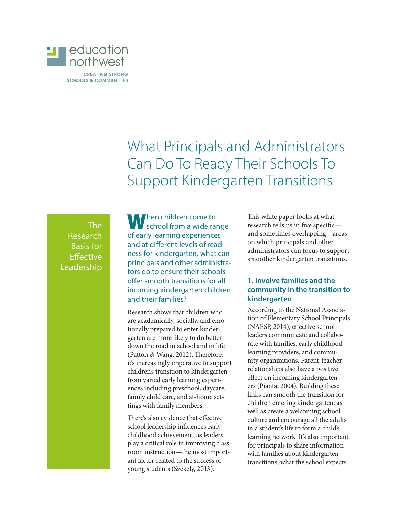

What Principals and Administrators Can Do To Ready Their Schools To Support Kindergarten Transitions

The Research Basis for **Effective** Leadership

When children come to school from a wide range of early learning experiences and at different levels of readiness for kindergarten, what can principals and other administrators do to ensure their schools offer smooth transitions for all incoming kindergarten children and their families?

Research shows that children who are academically, socially, and emotionally prepared to enter kindergarten are more likely to do better down the road in school and in life (Patton & Wang, 2012). Therefore, it's increasingly imperative to support children's transition to kindergarten from varied early learning experiences including preschool, daycare, family child care, and at-home settings with family members.

There's also evidence that effective school leadership influences early childhood achievement, as leaders play a critical role in improving classroom instruction—the most important factor related to the success of young students (Szekely, 2013).

This white paper looks at what research tells us in five specific and sometimes overlapping—areas on which principals and other administrators can focus to support smoother kindergarten transitions.

### **1. Involve families and the community in the transition to kindergarten**

According to the National Association of Elementary School Principals (NAESP, 2014), effective school leaders communicate and collaborate with families, early childhood learning providers, and community organizations. Parent-teacher relationships also have a positive effect on incoming kindergarteners (Pianta, 2004). Building these links can smooth the transition for children entering kindergarten, as well as create a welcoming school culture and encourage all the adults in a student's life to form a child's learning network. It's also important for principals to share information with families about kindergarten transitions, what the school expects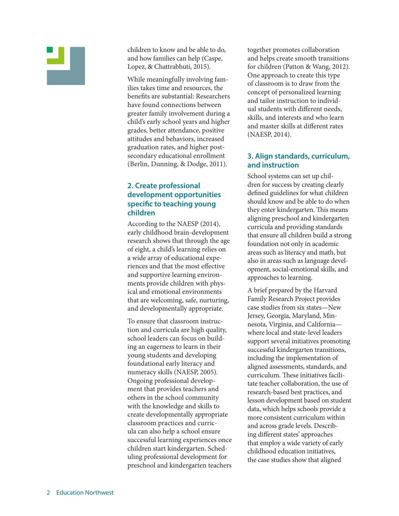

children to know and be able to do, and how families can help (Caspe, Lopez, & Chattrabhuti, 2015).

While meaningfully involving families takes time and resources, the benefits are substantial: Researchers have found connections between greater family involvement during a child's early school years and higher grades, better attendance, positive attitudes and behaviors, increased graduation rates, and higher postsecondary educational enrollment (Berlin, Dunning, & Dodge, 2011).

## **2. Create professional development opportunities specific to teaching young children**

According to the NAESP (2014), early childhood brain-development research shows that through the age of eight, a child's learning relies on a wide array of educational experiences and that the most effective and supportive learning environments provide children with physical and emotional environments that are welcoming, safe, nurturing, and developmentally appropriate.

To ensure that classroom instruction and curricula are high quality, school leaders can focus on building an eagerness to learn in their young students and developing foundational early literacy and numeracy skills (NAESP, 2005). Ongoing professional development that provides teachers and others in the school community with the knowledge and skills to create developmentally appropriate classroom practices and curricula can also help a school ensure successful learning experiences once children start kindergarten. Scheduling professional development for preschool and kindergarten teachers

together promotes collaboration and helps create smooth transitions for children (Patton & Wang, 2012). One approach to create this type of classroom is to draw from the concept of personalized learning and tailor instruction to individual students with different needs, skills, and interests and who learn and master skills at different rates (NAESP, 2014).

### **3. Align standards, curriculum, and instruction**

School systems can set up children for success by creating clearly defined guidelines for what children should know and be able to do when they enter kindergarten. This means aligning preschool and kindergarten curricula and providing standards that ensure all children build a strong foundation not only in academic areas such as literacy and math, but also in areas such as language development, social-emotional skills, and approaches to learning.

A brief prepared by the Harvard Family Research Project provides case studies from six states—New Jersey, Georgia, Maryland, Minnesota, Virginia, and California where local and state-level leaders support several initiatives promoting successful kindergarten transitions, including the implementation of aligned assessments, standards, and curriculum. These initiatives facilitate teacher collaboration, the use of research-based best practices, and lesson development based on student data, which helps schools provide a more consistent curriculum within and across grade levels. Describing different states' approaches that employ a wide variety of early childhood education initiatives, the case studies show that aligned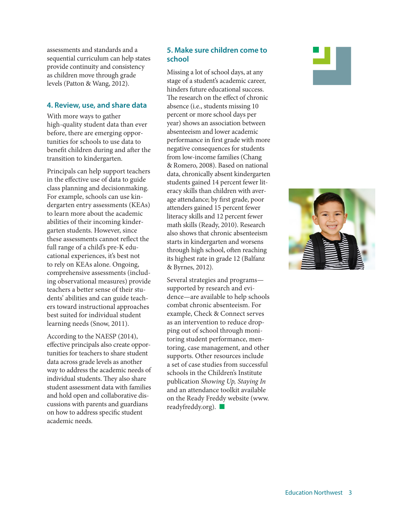assessments and standards and a sequential curriculum can help states provide continuity and consistency as children move through grade levels (Patton & Wang, 2012).

#### **4. Review, use, and share data**

With more ways to gather high-quality student data than ever before, there are emerging opportunities for schools to use data to benefit children during and after the transition to kindergarten.

Principals can help support teachers in the effective use of data to guide class planning and decisionmaking. For example, schools can use kindergarten entry assessments (KEAs) to learn more about the academic abilities of their incoming kindergarten students. However, since these assessments cannot reflect the full range of a child's pre-K educational experiences, it's best not to rely on KEAs alone. Ongoing, comprehensive assessments (including observational measures) provide teachers a better sense of their students' abilities and can guide teachers toward instructional approaches best suited for individual student learning needs (Snow, 2011).

According to the NAESP (2014), effective principals also create opportunities for teachers to share student data across grade levels as another way to address the academic needs of individual students. They also share student assessment data with families and hold open and collaborative discussions with parents and guardians on how to address specific student academic needs.

# **5. Make sure children come to school**

Missing a lot of school days, at any stage of a student's academic career, hinders future educational success. The research on the effect of chronic absence (i.e., students missing 10 percent or more school days per year) shows an association between absenteeism and lower academic performance in first grade with more negative consequences for students from low-income families (Chang & Romero, 2008). Based on national data, chronically absent kindergarten students gained 14 percent fewer literacy skills than children with average attendance; by first grade, poor attenders gained 15 percent fewer literacy skills and 12 percent fewer math skills (Ready, 2010). Research also shows that chronic absenteeism starts in kindergarten and worsens through high school, often reaching its highest rate in grade 12 (Balfanz & Byrnes, 2012).

Several strategies and programs supported by research and evidence—are available to help schools combat chronic absenteeism. For example, Check & Connect serves as an intervention to reduce dropping out of school through monitoring student performance, mentoring, case management, and other supports. Other resources include a set of case studies from successful schools in the Children's Institute publication *Showing Up, Staying In*  and an attendance toolkit available on the Ready Freddy website (www. readyfreddy.org).  $\blacksquare$ 



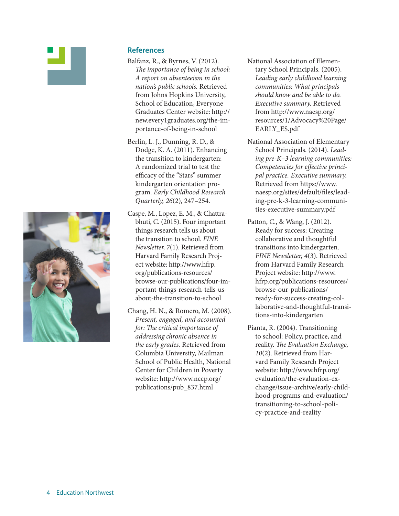



- Balfanz, R., & Byrnes, V. (2012). *The importance of being in school: A report on absenteeism in the nation's public schools.* Retrieved from Johns Hopkins University, School of Education, Everyone Graduates Center website: http:// new.every1graduates.org/the-importance-of-being-in-school
- Berlin, L. J., Dunning, R. D., & Dodge, K. A. (2011). Enhancing the transition to kindergarten: A randomized trial to test the efficacy of the "Stars" summer kindergarten orientation program. *Early Childhood Research Quarterly, 26*(2), 247–254.
- Caspe, M., Lopez, E. M., & Chattrabhuti, C. (2015). Four important things research tells us about the transition to school. *FINE Newsletter, 7*(1). Retrieved from Harvard Family Research Project website: http://www.hfrp. org/publications-resources/ browse-our-publications/four-important-things-research-tells-usabout-the-transition-to-school
- Chang, H. N., & Romero, M. (2008). *Present, engaged, and accounted for: The critical importance of addressing chronic absence in the early grades.* Retrieved from Columbia University, Mailman School of Public Health, National Center for Children in Poverty website: http://www.nccp.org/ publications/pub\_837.html
- National Association of Elementary School Principals. (2005). *Leading early childhood learning communities: What principals should know and be able to do. Executive summary.* Retrieved from http://www.naesp.org/ resources/1/Advocacy%20Page/ EARLY\_ES.pdf
- National Association of Elementary School Principals. (2014). *Leading pre-K–3 learning communities: Competencies for effective principal practice. Executive summary.*  Retrieved from https://www. naesp.org/sites/default/files/leading-pre-k-3-learning-communities-executive-summary.pdf
- Patton, C., & Wang, J. (2012). Ready for success: Creating collaborative and thoughtful transitions into kindergarten. *FINE Newsletter, 4*(3). Retrieved from Harvard Family Research Project website: http://www. hfrp.org/publications-resources/ browse-our-publications/ ready-for-success-creating-collaborative-and-thoughtful-transitions-into-kindergarten
- Pianta, R. (2004). Transitioning to school: Policy, practice, and reality. *The Evaluation Exchange, 10*(2). Retrieved from Harvard Family Research Project website: http://www.hfrp.org/ evaluation/the-evaluation-exchange/issue-archive/early-childhood-programs-and-evaluation/ transitioning-to-school-policy-practice-and-reality